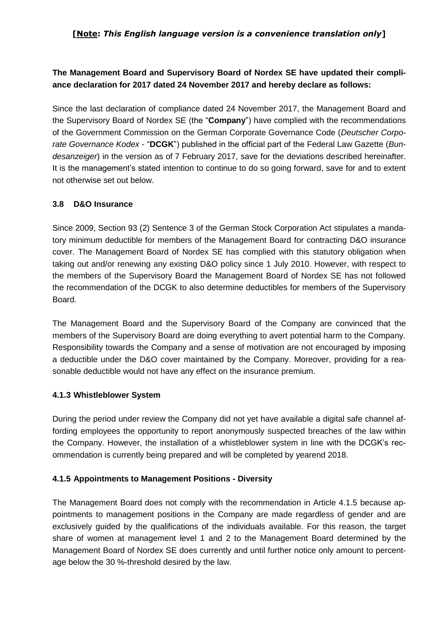### **[Note:** *This English language version is a convenience translation only***]**

# **The Management Board and Supervisory Board of Nordex SE have updated their compliance declaration for 2017 dated 24 November 2017 and hereby declare as follows:**

Since the last declaration of compliance dated 24 November 2017, the Management Board and the Supervisory Board of Nordex SE (the "**Company**") have complied with the recommendations of the Government Commission on the German Corporate Governance Code (*Deutscher Corporate Governance Kodex* - "**DCGK**") published in the official part of the Federal Law Gazette (*Bundesanzeiger*) in the version as of 7 February 2017, save for the deviations described hereinafter. It is the management's stated intention to continue to do so going forward, save for and to extent not otherwise set out below.

### **3.8 D&O Insurance**

Since 2009, Section 93 (2) Sentence 3 of the German Stock Corporation Act stipulates a mandatory minimum deductible for members of the Management Board for contracting D&O insurance cover. The Management Board of Nordex SE has complied with this statutory obligation when taking out and/or renewing any existing D&O policy since 1 July 2010. However, with respect to the members of the Supervisory Board the Management Board of Nordex SE has not followed the recommendation of the DCGK to also determine deductibles for members of the Supervisory Board.

The Management Board and the Supervisory Board of the Company are convinced that the members of the Supervisory Board are doing everything to avert potential harm to the Company. Responsibility towards the Company and a sense of motivation are not encouraged by imposing a deductible under the D&O cover maintained by the Company. Moreover, providing for a reasonable deductible would not have any effect on the insurance premium.

#### **4.1.3 Whistleblower System**

During the period under review the Company did not yet have available a digital safe channel affording employees the opportunity to report anonymously suspected breaches of the law within the Company. However, the installation of a whistleblower system in line with the DCGK's recommendation is currently being prepared and will be completed by yearend 2018.

### **4.1.5 Appointments to Management Positions - Diversity**

The Management Board does not comply with the recommendation in Article 4.1.5 because appointments to management positions in the Company are made regardless of gender and are exclusively guided by the qualifications of the individuals available. For this reason, the target share of women at management level 1 and 2 to the Management Board determined by the Management Board of Nordex SE does currently and until further notice only amount to percentage below the 30 %-threshold desired by the law.